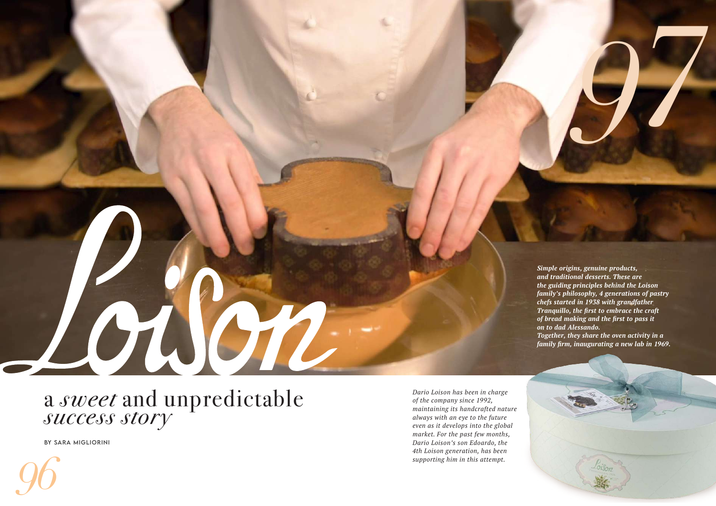

## <sup>a</sup> *sweet* and unpredictable *success story*

By Sara Migliorini

*Simple origins, genuine products, and traditional desserts. These are the guiding principles behind the Loison family's philosophy, 4 generations of pastry chefs started in 1938 with grandfather Tranquillo, the first to embrace the craft of bread making and the first to pass it on to dad Alessando. Together, they share the oven activity in a* 

*family firm, inaugurating a new lab in 1969.*



*Dario Loison has been in charge of the company since 1992, maintaining its handcrafted nature always with an eye to the future even as it develops into the global market. For the past few months, Dario Loison's son Edoardo, the 4th Loison generation, has been supporting him in this attempt.*

*97*

*96*